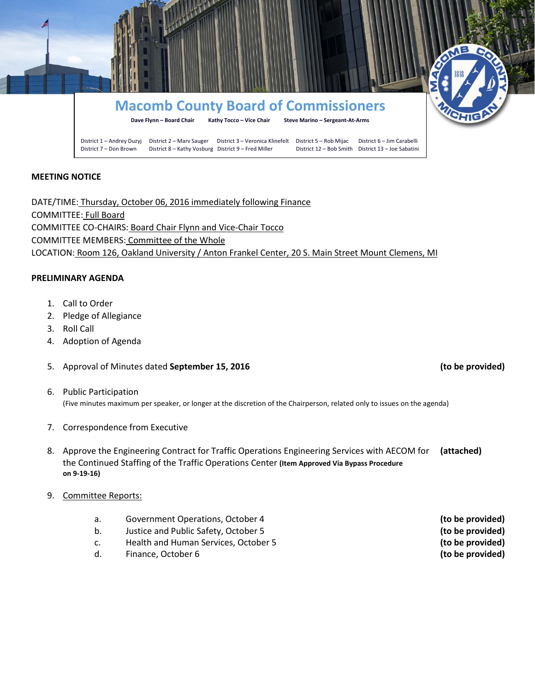

## **MEETING NOTICE**

DATE/TIME: Thursday, October 06, 2016 immediately following Finance COMMITTEE: Full Board COMMITTEE CO-CHAIRS: Board Chair Flynn and Vice-Chair Tocco COMMITTEE MEMBERS: Committee of the Whole LOCATION: Room 126, Oakland University / Anton Frankel Center, 20 S. Main Street Mount Clemens, MI

## **PRELIMINARY AGENDA**

- 1. Call to Order
- 2. Pledge of Allegiance
- 3. Roll Call
- 4. Adoption of Agenda
- 5. Approval of Minutes dated **September 15, 2016 (to be provided)**
- 6. Public Participation (Five minutes maximum per speaker, or longer at the discretion of the Chairperson, related only to issues on the agenda)
- 7. Correspondence from Executive
- 8. Approve the Engineering Contract for Traffic Operations Engineering Services with AECOM for **(attached)** the Continued Staffing of the Traffic Operations Center **(Item Approved Via Bypass Procedure on 9-19-16)**
- 9. Committee Reports:
	- a. Government Operations, October 4 **(to be provided)**
	- b. Justice and Public Safety, October 5 **(to be provided)**
	- c. Health and Human Services, October 5 **(to be provided)**
	- d. Finance, October 6 **(to be provided)**